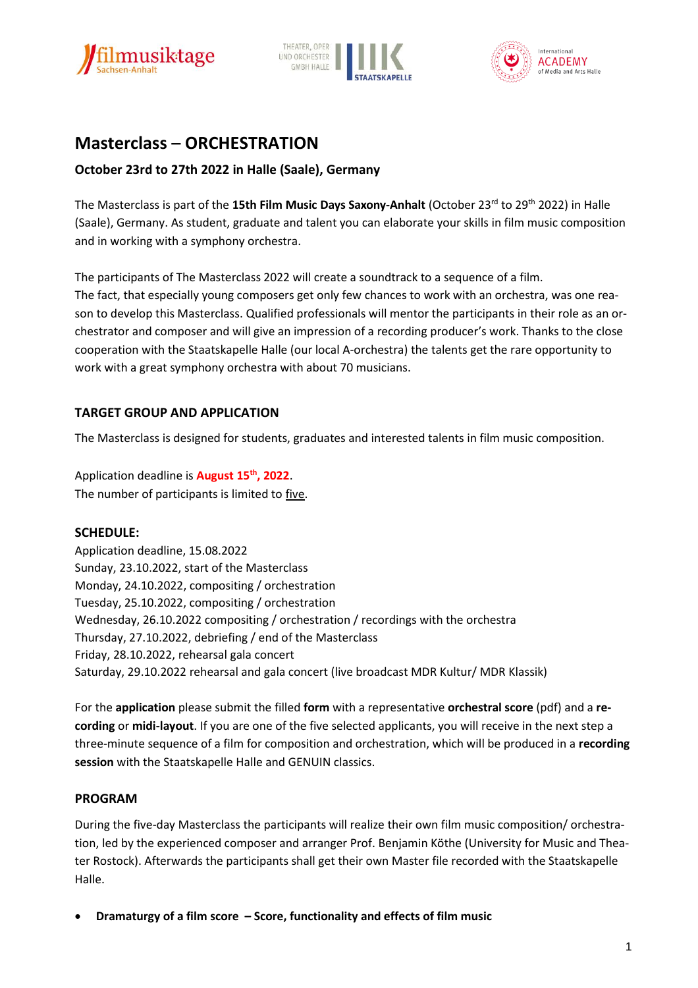





# **Masterclass – ORCHESTRATION**

# **October 23rd to 27th 2022 in Halle (Saale), Germany**

The Masterclass is part of the 15th Film Music Days Saxony-Anhalt (October 23<sup>rd</sup> to 29<sup>th</sup> 2022) in Halle (Saale), Germany. As student, graduate and talent you can elaborate your skills in film music composition and in working with a symphony orchestra.

The participants of The Masterclass 2022 will create a soundtrack to a sequence of a film. The fact, that especially young composers get only few chances to work with an orchestra, was one reason to develop this Masterclass. Qualified professionals will mentor the participants in their role as an orchestrator and composer and will give an impression of a recording producer's work. Thanks to the close cooperation with the Staatskapelle Halle (our local A-orchestra) the talents get the rare opportunity to work with a great symphony orchestra with about 70 musicians.

# **TARGET GROUP AND APPLICATION**

The Masterclass is designed for students, graduates and interested talents in film music composition.

Application deadline is **August 15th , 2022**. The number of participants is limited to five.

## **SCHEDULE:**

Application deadline, 15.08.2022 Sunday, 23.10.2022, start of the Masterclass Monday, 24.10.2022, compositing / orchestration Tuesday, 25.10.2022, compositing / orchestration Wednesday, 26.10.2022 compositing / orchestration / recordings with the orchestra Thursday, 27.10.2022, debriefing / end of the Masterclass Friday, 28.10.2022, rehearsal gala concert Saturday, 29.10.2022 rehearsal and gala concert (live broadcast MDR Kultur/ MDR Klassik)

For the **application** please submit the filled **form** with a representative **orchestral score** (pdf) and a **recording** or **midi-layout**. If you are one of the five selected applicants, you will receive in the next step a three-minute sequence of a film for composition and orchestration, which will be produced in a **recording session** with the Staatskapelle Halle and GENUIN classics.

### **PROGRAM**

During the five-day Masterclass the participants will realize their own film music composition/ orchestration, led by the experienced composer and arranger Prof. Benjamin Köthe (University for Music and Theater Rostock). Afterwards the participants shall get their own Master file recorded with the Staatskapelle Halle.

**Dramaturgy of a film score – Score, functionality and effects of film music**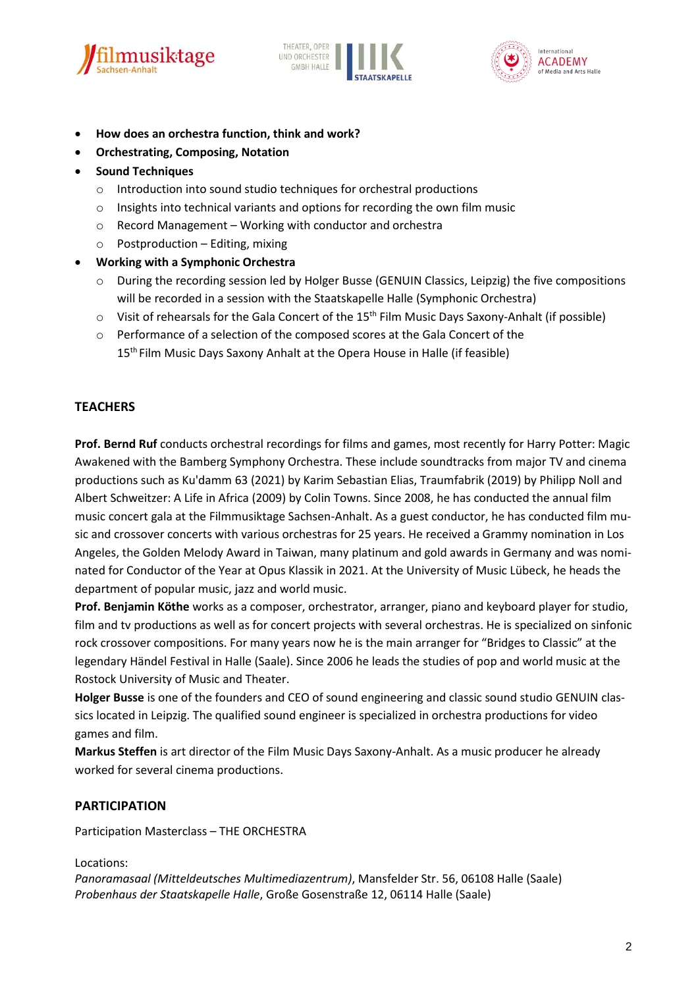





- **How does an orchestra function, think and work?**
- **Orchestrating, Composing, Notation**
- **•** Sound Techniques
	- o Introduction into sound studio techniques for orchestral productions
	- o Insights into technical variants and options for recording the own film music
	- o Record Management Working with conductor and orchestra
	- $\circ$  Postproduction Editing, mixing
- **Working with a Symphonic Orchestra**
	- o During the recording session led by Holger Busse (GENUIN Classics, Leipzig) the five compositions will be recorded in a session with the Staatskapelle Halle (Symphonic Orchestra)
	- $\circ$  Visit of rehearsals for the Gala Concert of the 15<sup>th</sup> Film Music Days Saxony-Anhalt (if possible)
	- o Performance of a selection of the composed scores at the Gala Concert of the 15 th Film Music Days Saxony Anhalt at the Opera House in Halle (if feasible)

### **TEACHERS**

**Prof. Bernd Ruf** conducts orchestral recordings for films and games, most recently for Harry Potter: Magic Awakened with the Bamberg Symphony Orchestra. These include soundtracks from major TV and cinema productions such as Ku'damm 63 (2021) by Karim Sebastian Elias, Traumfabrik (2019) by Philipp Noll and Albert Schweitzer: A Life in Africa (2009) by Colin Towns. Since 2008, he has conducted the annual film music concert gala at the Filmmusiktage Sachsen-Anhalt. As a guest conductor, he has conducted film music and crossover concerts with various orchestras for 25 years. He received a Grammy nomination in Los Angeles, the Golden Melody Award in Taiwan, many platinum and gold awards in Germany and was nominated for Conductor of the Year at Opus Klassik in 2021. At the University of Music Lübeck, he heads the department of popular music, jazz and world music.

**Prof. Benjamin Köthe** works as a composer, orchestrator, arranger, piano and keyboard player for studio, film and tv productions as well as for concert projects with several orchestras. He is specialized on sinfonic rock crossover compositions. For many years now he is the main arranger for "Bridges to Classic" at the legendary Händel Festival in Halle (Saale). Since 2006 he leads the studies of pop and world music at the Rostock University of Music and Theater.

**Holger Busse** is one of the founders and CEO of sound engineering and classic sound studio GENUIN classics located in Leipzig. The qualified sound engineer is specialized in orchestra productions for video games and film.

**Markus Steffen** is art director of the Film Music Days Saxony-Anhalt. As a music producer he already worked for several cinema productions.

### **PARTICIPATION**

Participation Masterclass – THE ORCHESTRA

#### Locations:

*Panoramasaal (Mitteldeutsches Multimediazentrum)*, Mansfelder Str. 56, 06108 Halle (Saale) *Probenhaus der Staatskapelle Halle*, Große Gosenstraße 12, 06114 Halle (Saale)